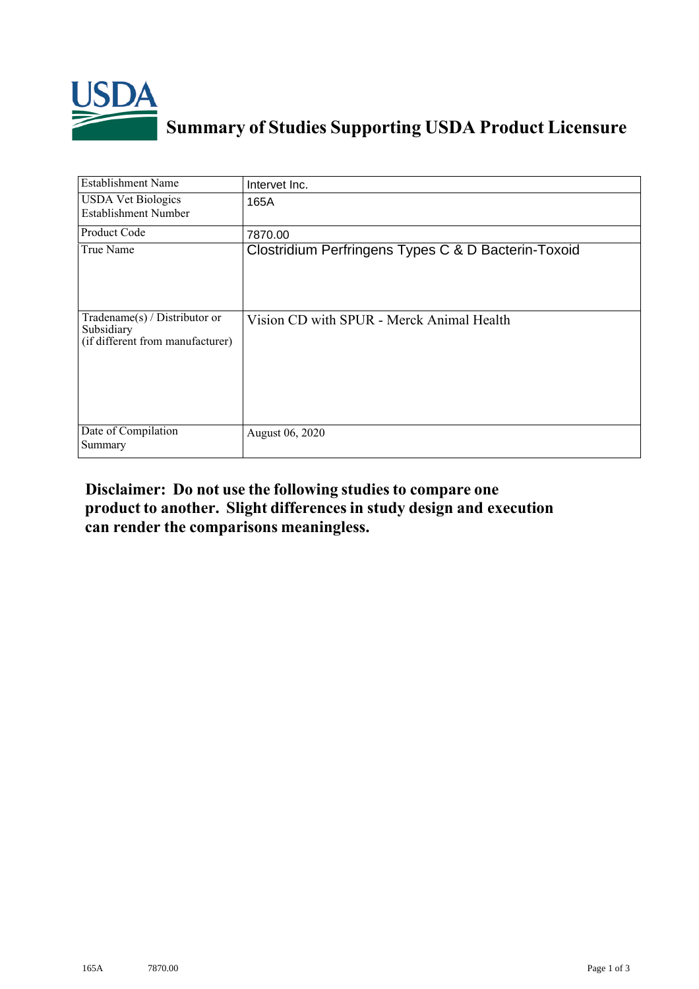

## **Summary of Studies Supporting USDA Product Licensure**

| <b>Establishment Name</b>                                                       | Intervet Inc.                                       |
|---------------------------------------------------------------------------------|-----------------------------------------------------|
| <b>USDA Vet Biologics</b><br><b>Establishment Number</b>                        | 165A                                                |
| <b>Product Code</b>                                                             | 7870.00                                             |
| True Name                                                                       | Clostridium Perfringens Types C & D Bacterin-Toxoid |
| Tradename(s) / Distributor or<br>Subsidiary<br>(if different from manufacturer) | Vision CD with SPUR - Merck Animal Health           |
| Date of Compilation<br>Summary                                                  | August 06, 2020                                     |

## **Disclaimer: Do not use the following studiesto compare one product to another. Slight differencesin study design and execution can render the comparisons meaningless.**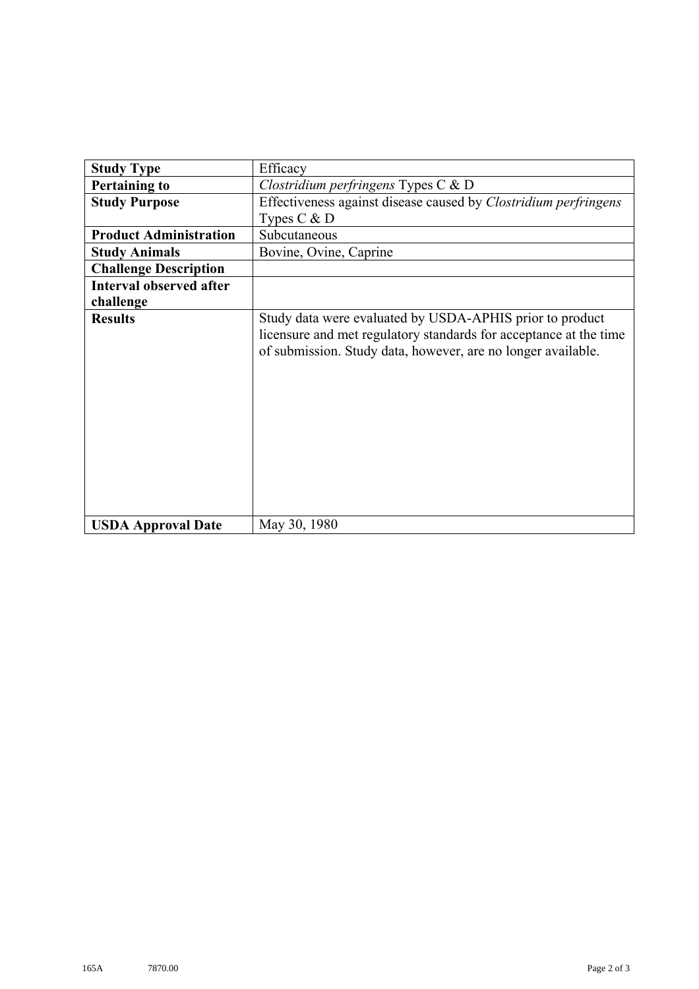| <b>Study Type</b>              | Efficacy                                                                                                                                                                                      |
|--------------------------------|-----------------------------------------------------------------------------------------------------------------------------------------------------------------------------------------------|
| <b>Pertaining to</b>           | Clostridium perfringens Types $C & D$                                                                                                                                                         |
| <b>Study Purpose</b>           | Effectiveness against disease caused by Clostridium perfringens                                                                                                                               |
|                                | Types $C$ & $D$                                                                                                                                                                               |
| <b>Product Administration</b>  | Subcutaneous                                                                                                                                                                                  |
| <b>Study Animals</b>           | Bovine, Ovine, Caprine                                                                                                                                                                        |
| <b>Challenge Description</b>   |                                                                                                                                                                                               |
| <b>Interval observed after</b> |                                                                                                                                                                                               |
| challenge                      |                                                                                                                                                                                               |
| <b>Results</b>                 | Study data were evaluated by USDA-APHIS prior to product<br>licensure and met regulatory standards for acceptance at the time<br>of submission. Study data, however, are no longer available. |
| <b>USDA Approval Date</b>      | May 30, 1980                                                                                                                                                                                  |